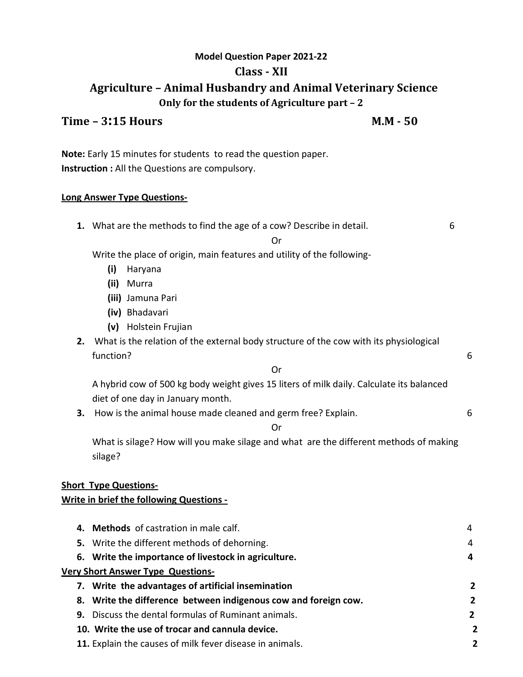# **Model Question Paper 2021-22 Class - XII Agriculture – Animal Husbandry and Animal Veterinary Science Only for the students of Agriculture part – 2**

### **Time – 3:15 Hours M.M - 50**

**Note:** Early 15 minutes for students to read the question paper. **Instruction :** All the Questions are compulsory.

#### **Long Answer Type Questions-**

**1.** What are the methods to find the age of a cow? Describe in detail. 6

#### Or

Write the place of origin, main features and utility of the following-

- **(i)** Haryana
- **(ii)** Murra
- **(iii)** Jamuna Pari
- **(iv)** Bhadavari
- **(v)** Holstein Frujian
- **2.** What is the relation of the external body structure of the cow with its physiological function? 6

Or

A hybrid cow of 500 kg body weight gives 15 liters of milk daily. Calculate its balanced diet of one day in January month.

**3.** How is the animal house made cleaned and germ free? Explain. 6

#### Or

What is silage? How will you make silage and what are the different methods of making silage?

# **Short Type Questions-**

# **Write in brief the following Questions -**

| 4. Methods of castration in male calf.                          |                |
|-----------------------------------------------------------------|----------------|
| 5. Write the different methods of dehorning.                    | 4              |
| 6. Write the importance of livestock in agriculture.            | 4              |
| <b>Very Short Answer Type Questions-</b>                        |                |
| 7. Write the advantages of artificial insemination              | 2              |
| 8. Write the difference between indigenous cow and foreign cow. | $\overline{2}$ |
| <b>9.</b> Discuss the dental formulas of Ruminant animals.      | $\overline{2}$ |
| 10. Write the use of trocar and cannula device.                 | 2              |
| 11. Explain the causes of milk fever disease in animals.        | 2              |
|                                                                 |                |